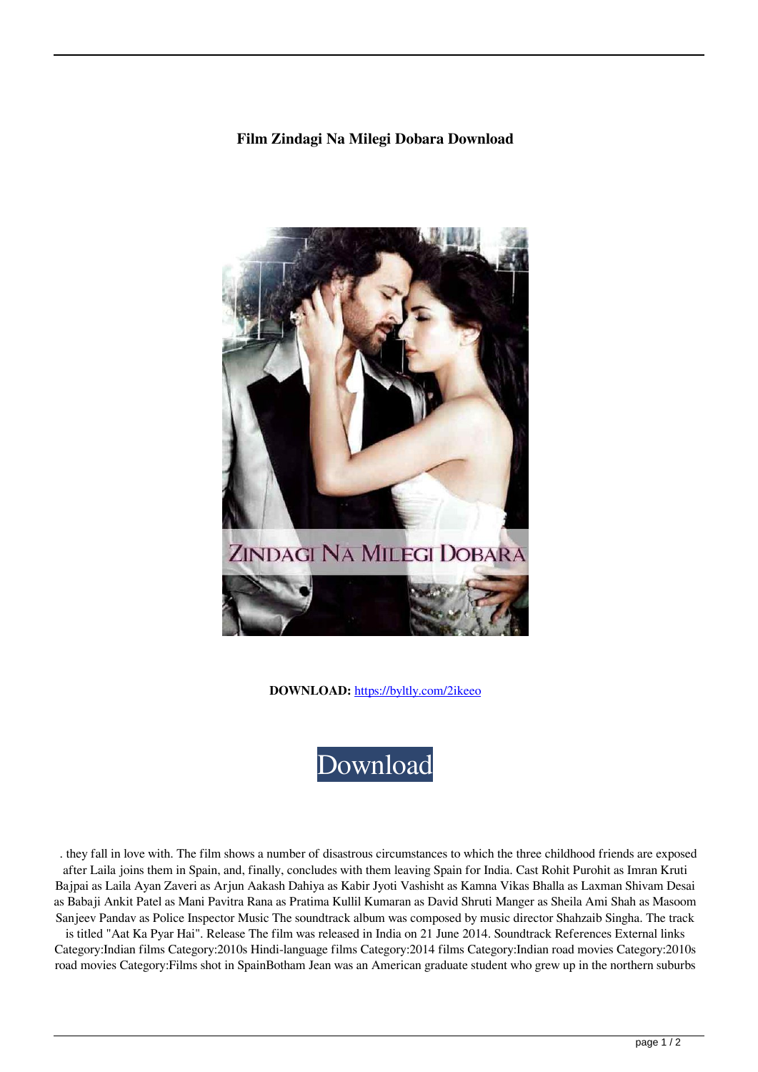## **Film Zindagi Na Milegi Dobara Download**



**DOWNLOAD:** <https://byltly.com/2ikeeo>



 . they fall in love with. The film shows a number of disastrous circumstances to which the three childhood friends are exposed after Laila joins them in Spain, and, finally, concludes with them leaving Spain for India. Cast Rohit Purohit as Imran Kruti Bajpai as Laila Ayan Zaveri as Arjun Aakash Dahiya as Kabir Jyoti Vashisht as Kamna Vikas Bhalla as Laxman Shivam Desai as Babaji Ankit Patel as Mani Pavitra Rana as Pratima Kullil Kumaran as David Shruti Manger as Sheila Ami Shah as Masoom Sanjeev Pandav as Police Inspector Music The soundtrack album was composed by music director Shahzaib Singha. The track

is titled "Aat Ka Pyar Hai". Release The film was released in India on 21 June 2014. Soundtrack References External links Category:Indian films Category:2010s Hindi-language films Category:2014 films Category:Indian road movies Category:2010s road movies Category:Films shot in SpainBotham Jean was an American graduate student who grew up in the northern suburbs